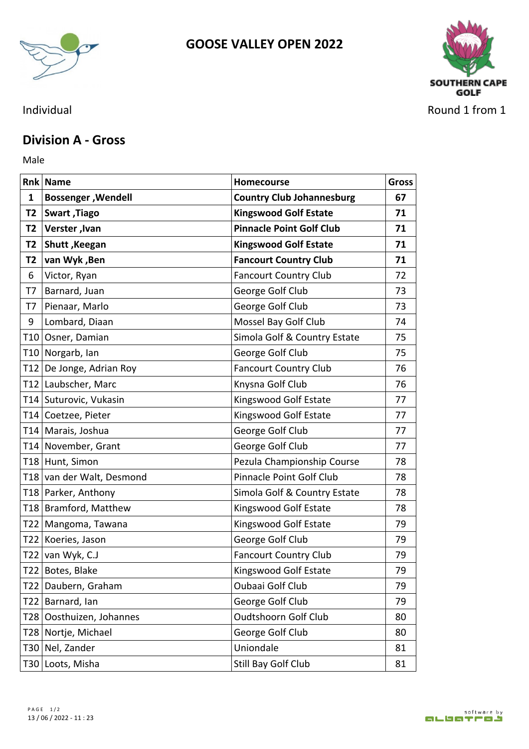



## **Division A - Gross**

Male **Male** 

|                | <b>Rnk Name</b>           | <b>Homecourse</b>                | <b>Gross</b> |
|----------------|---------------------------|----------------------------------|--------------|
| 1              | <b>Bossenger, Wendell</b> | <b>Country Club Johannesburg</b> | 67           |
|                | T2   Swart , Tiago        | <b>Kingswood Golf Estate</b>     | 71           |
| T2             | Verster, Ivan             | <b>Pinnacle Point Golf Club</b>  | 71           |
| T2             | Shutt, Keegan             | <b>Kingswood Golf Estate</b>     | 71           |
| T <sub>2</sub> | van Wyk, Ben              | <b>Fancourt Country Club</b>     | 71           |
| 6              | Victor, Ryan              | <b>Fancourt Country Club</b>     | 72           |
| T7             | Barnard, Juan             | George Golf Club                 | 73           |
| T7             | Pienaar, Marlo            | George Golf Club                 | 73           |
| 9              | Lombard, Diaan            | Mossel Bay Golf Club             | 74           |
|                | T10 Osner, Damian         | Simola Golf & Country Estate     | 75           |
|                | T10 Norgarb, Ian          | George Golf Club                 | 75           |
|                | T12 De Jonge, Adrian Roy  | <b>Fancourt Country Club</b>     | 76           |
|                | T12 Laubscher, Marc       | Knysna Golf Club                 | 76           |
|                | T14 Suturovic, Vukasin    | Kingswood Golf Estate            | 77           |
|                | T14 Coetzee, Pieter       | Kingswood Golf Estate            | 77           |
|                | T14   Marais, Joshua      | George Golf Club                 | 77           |
|                | T14 November, Grant       | George Golf Club                 | 77           |
|                | T18 Hunt, Simon           | Pezula Championship Course       | 78           |
|                | T18 van der Walt, Desmond | Pinnacle Point Golf Club         | 78           |
|                | T18 Parker, Anthony       | Simola Golf & Country Estate     | 78           |
|                | T18 Bramford, Matthew     | Kingswood Golf Estate            | 78           |
|                | T22   Mangoma, Tawana     | Kingswood Golf Estate            | 79           |
|                | T22 Koeries, Jason        | George Golf Club                 | 79           |
|                | T22 van Wyk, $C.J$        | <b>Fancourt Country Club</b>     | 79           |
|                | T22 Botes, Blake          | Kingswood Golf Estate            | 79           |
|                | T22 Daubern, Graham       | Oubaai Golf Club                 | 79           |
|                | T22 Barnard, Ian          | George Golf Club                 | 79           |
|                | T28 Oosthuizen, Johannes  | Oudtshoorn Golf Club             | 80           |
|                | T28 Nortje, Michael       | George Golf Club                 | 80           |
|                | T30 Nel, Zander           | Uniondale                        | 81           |
|                | T30 Loots, Misha          | Still Bay Golf Club              | 81           |